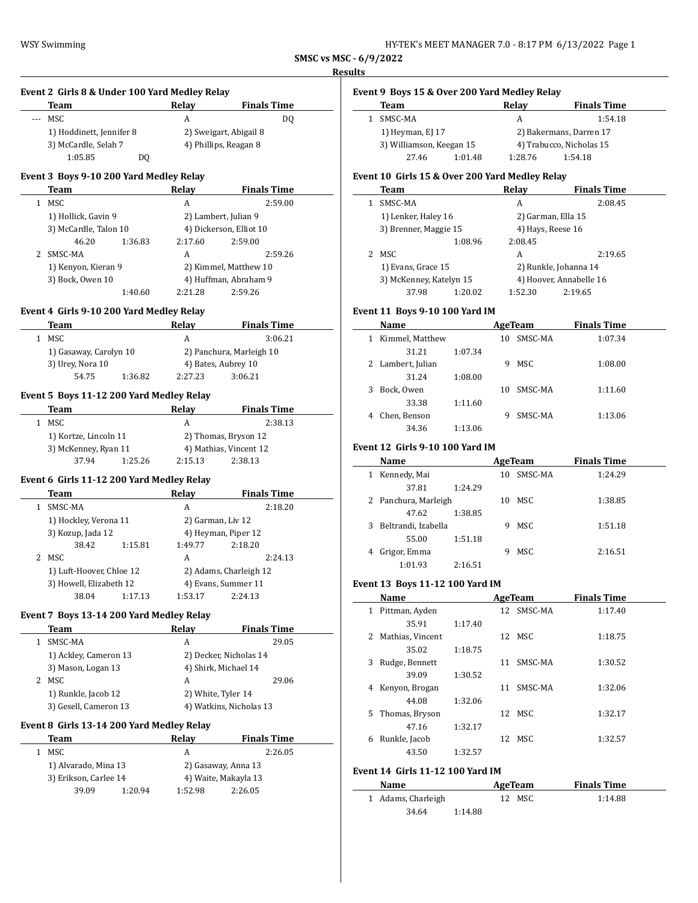**SMSC vs MSC - 6/9/2022 Results**

|              | Team                                      | Relay              | <b>Finals Time</b>                           |  |  |
|--------------|-------------------------------------------|--------------------|----------------------------------------------|--|--|
|              | --- MSC                                   | A                  | DQ                                           |  |  |
|              | 1) Hoddinett, Jennifer 8                  |                    | 2) Sweigart, Abigail 8                       |  |  |
|              | 3) McCardle, Selah 7                      |                    | 4) Phillips, Reagan 8                        |  |  |
|              | 1:05.85<br>DQ                             |                    |                                              |  |  |
|              | Event 3 Boys 9-10 200 Yard Medley Relay   |                    |                                              |  |  |
|              | Team                                      |                    | Relay Finals Time                            |  |  |
|              | <b>MSC</b><br>$\mathbf{1}$                | A                  | 2:59.00                                      |  |  |
|              | 1) Hollick, Gavin 9                       |                    | 2) Lambert, Julian 9                         |  |  |
|              | 3) McCardle, Talon 10                     |                    | 4) Dickerson, Elliot 10                      |  |  |
|              | 46.20<br>1:36.83                          | 2:17.60            | 2:59.00                                      |  |  |
|              | 2 SMSC-MA                                 | A                  | 2:59.26                                      |  |  |
|              | 1) Kenyon, Kieran 9                       |                    | 2) Kimmel, Matthew 10                        |  |  |
|              | 3) Bock, Owen 10                          |                    | 4) Huffman, Abraham 9                        |  |  |
|              | 1:40.60                                   | 2:21.28            | 2:59.26                                      |  |  |
|              |                                           |                    |                                              |  |  |
|              | Event 4 Girls 9-10 200 Yard Medley Relay  |                    |                                              |  |  |
|              | Team                                      | <b>Relay</b>       | <b>Finals Time</b>                           |  |  |
|              | 1 MSC                                     | A                  | 3:06.21                                      |  |  |
|              | 1) Gasaway, Carolyn 10                    |                    | 2) Panchura, Marleigh 10                     |  |  |
|              | 3) Urey, Nora 10                          |                    | 4) Bates, Aubrey 10                          |  |  |
|              | 54.75<br>1:36.82                          | 2:27.23            | 3:06.21                                      |  |  |
|              | Event 5 Boys 11-12 200 Yard Medley Relay  |                    |                                              |  |  |
|              | Team                                      | Relay              | <b>Finals Time</b>                           |  |  |
|              | 1 MSC                                     | A                  | 2:38.13                                      |  |  |
|              |                                           |                    |                                              |  |  |
|              | 1) Kortze, Lincoln 11                     |                    | 2) Thomas, Bryson 12                         |  |  |
|              | 3) McKenney, Ryan 11                      |                    | 4) Mathias, Vincent 12<br>2:15.13<br>2:38.13 |  |  |
|              | 37.94<br>1:25.26                          |                    |                                              |  |  |
|              | Event 6 Girls 11-12 200 Yard Medley Relay |                    |                                              |  |  |
|              | Team                                      | Relav              | <b>Finals Time</b>                           |  |  |
| $\mathbf{1}$ | SMSC-MA                                   | A                  | 2:18.20                                      |  |  |
|              | 1) Hockley, Verona 11                     | 2) Garman, Liv 12  |                                              |  |  |
|              | 3) Kozup, Jada 12                         |                    | 4) Heyman, Piper 12                          |  |  |
|              | 1:15.81<br>38.42                          | 1:49.77            | 2:18.20                                      |  |  |
|              | 2 MSC                                     | A                  | 2:24.13                                      |  |  |
|              | 1) Luft-Hoover, Chloe 12                  |                    | 2) Adams, Charleigh 12                       |  |  |
|              | 3) Howell, Elizabeth 12                   |                    | 4) Evans, Summer 11                          |  |  |
|              | 38.04<br>1:17.13                          | 1:53.17            | 2:24.13                                      |  |  |
|              |                                           |                    |                                              |  |  |
|              | Event 7 Boys 13-14 200 Yard Medley Relay  |                    |                                              |  |  |
|              | Team                                      | Relay              | <b>Finals Time</b>                           |  |  |
| $1 \quad$    | SMSC-MA                                   | A                  | 29.05                                        |  |  |
|              | 1) Ackley, Cameron 13                     |                    | 2) Decker, Nicholas 14                       |  |  |
|              | 3) Mason, Logan 13                        |                    | 4) Shirk, Michael 14                         |  |  |
|              | 2 MSC                                     | A                  | 29.06                                        |  |  |
|              | 1) Runkle, Jacob 12                       | 2) White, Tyler 14 |                                              |  |  |
|              | 3) Gesell, Cameron 13                     |                    | 4) Watkins, Nicholas 13                      |  |  |
|              | Event 8 Girls 13-14 200 Yard Medley Relay |                    |                                              |  |  |
|              | <b>Team</b>                               | <b>Relay</b>       | <b>Finals Time</b>                           |  |  |
|              | <b>MSC</b>                                |                    |                                              |  |  |
|              | 1) Alvarado, Mina 13                      | A                  | 2:26.05                                      |  |  |
|              |                                           |                    | 2) Gasaway, Anna 13                          |  |  |
|              |                                           |                    |                                              |  |  |
| $1\,$        | 3) Erikson, Carlee 14<br>39.09<br>1:20.94 | 1:52.98            | 4) Waite, Makayla 13<br>2:26.05              |  |  |

# **Event 9 Boys 15 & Over 200 Yard Medley Relay**

| Team                     |         | Relav                   | <b>Finals Time</b>       |  |
|--------------------------|---------|-------------------------|--------------------------|--|
| SMSC-MA                  |         | А                       | 1:54.18                  |  |
| 1) Heyman, EJ 17         |         | 2) Bakermans, Darren 17 |                          |  |
| 3) Williamson, Keegan 15 |         |                         | 4) Trabucco, Nicholas 15 |  |
| 27.46                    | 1:01.48 | 1:28.76                 | 1:54.18                  |  |

# **Event 10 Girls 15 & Over 200 Yard Medley Relay**

|    | Team                    |         | Relay              | <b>Finals Time</b>      |  |
|----|-------------------------|---------|--------------------|-------------------------|--|
|    | SMSC-MA                 |         | A                  | 2:08.45                 |  |
|    | 1) Lenker, Haley 16     |         | 2) Garman, Ella 15 |                         |  |
|    | 3) Brenner, Maggie 15   |         | 4) Hays, Reese 16  |                         |  |
|    |                         | 1:08.96 | 2:08.45            |                         |  |
| 2. | MSC                     |         | A                  | 2:19.65                 |  |
|    | 1) Evans, Grace 15      |         |                    | 2) Runkle, Johanna 14   |  |
|    | 3) McKenney, Katelyn 15 |         |                    | 4) Hoover, Annabelle 16 |  |
|    | 37.98                   | 1:20.02 | 1:52.30            | 2:19.65                 |  |

# **Event 11 Boys 9-10 100 Yard IM**

| Name                 | AgeTeam |    |         | <b>Finals Time</b> |  |
|----------------------|---------|----|---------|--------------------|--|
| Kimmel, Matthew<br>1 |         | 10 | SMSC-MA | 1:07.34            |  |
| 31.21                | 1:07.34 |    |         |                    |  |
| 2 Lambert, Julian    |         | 9  | MSC     | 1:08.00            |  |
| 31.24                | 1:08.00 |    |         |                    |  |
| Bock, Owen<br>3      |         | 10 | SMSC-MA | 1:11.60            |  |
| 33.38                | 1:11.60 |    |         |                    |  |
| Chen, Benson<br>4    |         | 9  | SMSC-MA | 1:13.06            |  |
| 34.36                | 1:13.06 |    |         |                    |  |

# **Event 12 Girls 9-10 100 Yard IM**

| Name                  | AgeTeam |    |         | <b>Finals Time</b> |  |
|-----------------------|---------|----|---------|--------------------|--|
| Kennedy, Mai<br>1     |         | 10 | SMSC-MA | 1:24.29            |  |
| 37.81                 | 1:24.29 |    |         |                    |  |
| 2 Panchura, Marleigh  |         | 10 | MSC     | 1:38.85            |  |
| 47.62                 | 1:38.85 |    |         |                    |  |
| 3 Beltrandi, Izabella |         | 9  | MSC     | 1:51.18            |  |
| 55.00                 | 1:51.18 |    |         |                    |  |
| Grigor, Emma<br>4     |         | 9  | MSC     | 2:16.51            |  |
| 1:01.93               | 2:16.51 |    |         |                    |  |

### **Event 13 Boys 11-12 100 Yard IM**

 $\overline{\phantom{a}}$ 

|    | Name             |         |    | AgeTeam    | <b>Finals Time</b> |  |
|----|------------------|---------|----|------------|--------------------|--|
| 1  | Pittman, Ayden   |         |    | 12 SMSC-MA | 1:17.40            |  |
|    | 35.91            | 1:17.40 |    |            |                    |  |
| 2  | Mathias, Vincent |         |    | 12 MSC     | 1:18.75            |  |
|    | 35.02            | 1:18.75 |    |            |                    |  |
| 3  | Rudge, Bennett   |         | 11 | SMSC-MA    | 1:30.52            |  |
|    | 39.09            | 1:30.52 |    |            |                    |  |
| 4  | Kenyon, Brogan   |         | 11 | SMSC-MA    | 1:32.06            |  |
|    | 44.08            | 1:32.06 |    |            |                    |  |
| 5. | Thomas, Bryson   |         | 12 | MSC        | 1:32.17            |  |
|    | 47.16            | 1:32.17 |    |            |                    |  |
| 6  | Runkle, Jacob    |         | 12 | MSC        | 1:32.57            |  |
|    | 43.50            | 1:32.57 |    |            |                    |  |

# **Event 14 Girls 11-12 100 Yard IM**

| Name               | AgeTeam | <b>Finals Time</b> |  |
|--------------------|---------|--------------------|--|
| 1 Adams, Charleigh | 12 MSC  | 1:14.88            |  |
| 34.64              | 1:14.88 |                    |  |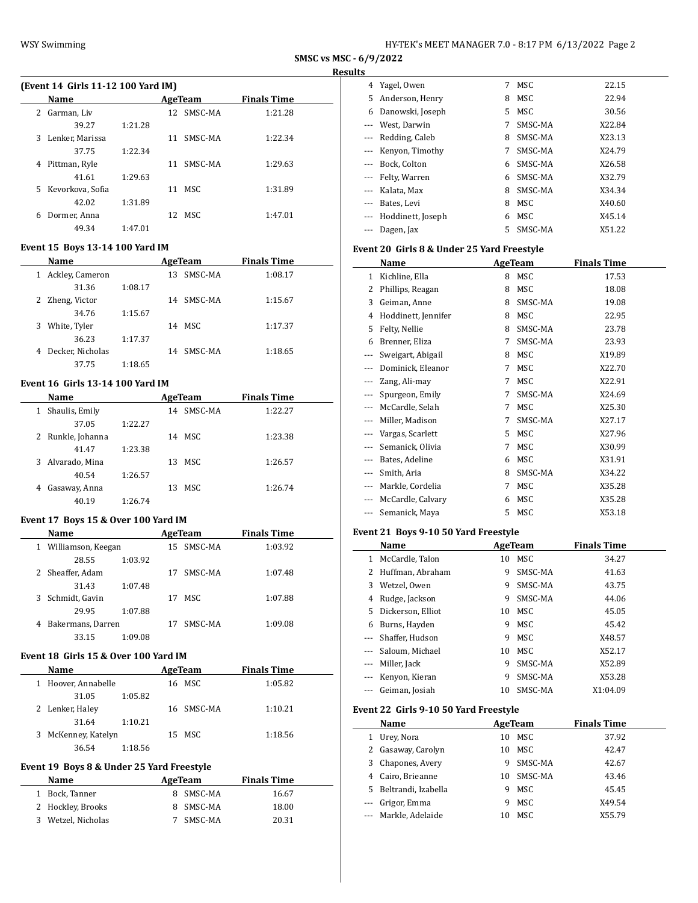**SMSC vs MSC - 6/9/2022 Results**

# **(Event 14 Girls 11-12 100 Yard IM)**

|    | Name             |         |     | AgeTeam | <b>Finals Time</b> |  |  |
|----|------------------|---------|-----|---------|--------------------|--|--|
| 2  | Garman, Liv      |         | 12. | SMSC-MA | 1:21.28            |  |  |
|    | 39.27            | 1:21.28 |     |         |                    |  |  |
| 3  | Lenker, Marissa  |         | 11  | SMSC-MA | 1:22.34            |  |  |
|    | 37.75            | 1:22.34 |     |         |                    |  |  |
| 4  | Pittman, Ryle    |         | 11  | SMSC-MA | 1:29.63            |  |  |
|    | 41.61            | 1:29.63 |     |         |                    |  |  |
| 5. | Kevorkova, Sofia |         | 11  | MSC     | 1:31.89            |  |  |
|    | 42.02            | 1:31.89 |     |         |                    |  |  |
| 6  | Dormer, Anna     |         | 12  | MSC     | 1:47.01            |  |  |
|    | 49.34            | 1:47.01 |     |         |                    |  |  |

### **Event 15 Boys 13-14 100 Yard IM**

| Name                  |         |    | AgeTeam | <b>Finals Time</b> |  |
|-----------------------|---------|----|---------|--------------------|--|
| Ackley, Cameron<br>1  |         | 13 | SMSC-MA | 1:08.17            |  |
| 31.36                 | 1:08.17 |    |         |                    |  |
| 2 Zheng, Victor       |         | 14 | SMSC-MA | 1:15.67            |  |
| 34.76                 | 1:15.67 |    |         |                    |  |
| White, Tyler<br>3     |         |    | 14 MSC  | 1:17.37            |  |
| 36.23                 | 1:17.37 |    |         |                    |  |
| Decker, Nicholas<br>4 |         | 14 | SMSC-MA | 1:18.65            |  |
| 37.75                 | 1:18.65 |    |         |                    |  |

# **Event 16 Girls 13-14 100 Yard IM**

| Name                |         | AgeTeam    | <b>Finals Time</b> |  |
|---------------------|---------|------------|--------------------|--|
| Shaulis, Emily<br>1 |         | 14 SMSC-MA | 1:22.27            |  |
| 37.05               | 1:22.27 |            |                    |  |
| 2 Runkle, Johanna   |         | 14 MSC     | 1:23.38            |  |
| 41.47               | 1:23.38 |            |                    |  |
| 3 Alvarado, Mina    |         | 13 MSC     | 1:26.57            |  |
| 40.54               | 1:26.57 |            |                    |  |
| Gasaway, Anna<br>4  |         | 13 MSC     | 1:26.74            |  |
| 40.19               | 1:26.74 |            |                    |  |

# **Event 17 Boys 15 & Over 100 Yard IM**

|    | Name                 |         |    | AgeTeam | <b>Finals Time</b> |  |
|----|----------------------|---------|----|---------|--------------------|--|
|    | 1 Williamson, Keegan |         | 15 | SMSC-MA | 1:03.92            |  |
|    | 28.55                | 1:03.92 |    |         |                    |  |
|    | 2 Sheaffer, Adam     |         | 17 | SMSC-MA | 1:07.48            |  |
|    | 31.43                | 1:07.48 |    |         |                    |  |
| 3. | Schmidt, Gavin       |         | 17 | MSC.    | 1:07.88            |  |
|    | 29.95                | 1:07.88 |    |         |                    |  |
| 4  | Bakermans, Darren    |         | 17 | SMSC-MA | 1:09.08            |  |
|    | 33.15                | 1:09.08 |    |         |                    |  |
|    |                      |         |    |         |                    |  |

#### **Event 18 Girls 15 & Over 100 Yard IM**

|   | Name              |         | AgeTeam    | <b>Finals Time</b> |  |
|---|-------------------|---------|------------|--------------------|--|
|   | Hoover, Annabelle |         | 16 MSC     | 1:05.82            |  |
|   | 31.05             | 1:05.82 |            |                    |  |
|   | 2 Lenker, Haley   |         | 16 SMSC-MA | 1:10.21            |  |
|   | 31.64             | 1:10.21 |            |                    |  |
| 3 | McKenney, Katelyn |         | 15 MSC     | 1:18.56            |  |
|   | 36.54             | 1:18.56 |            |                    |  |

#### **Event 19 Boys 8 & Under 25 Yard Freestyle**

| Name               | AgeTeam   | <b>Finals Time</b> |
|--------------------|-----------|--------------------|
| 1 Bock, Tanner     | 8 SMSC-MA | 16.67              |
| 2 Hockley, Brooks  | 8 SMSC-MA | 18.00              |
| 3 Wetzel, Nicholas | 7 SMSC-MA | 20.31              |

|          | 4 Yagel, Owen       | 7  | MSC     | 22.15  |
|----------|---------------------|----|---------|--------|
| 5.       | Anderson, Henry     | 8  | MSC     | 22.94  |
| 6        | Danowski, Joseph    | 5. | MSC.    | 30.56  |
|          | --- West, Darwin    | 7  | SMSC-MA | X22.84 |
|          | --- Redding, Caleb  | 8  | SMSC-MA | X23.13 |
|          | --- Kenyon, Timothy | 7  | SMSC-MA | X24.79 |
|          | --- Bock, Colton    | 6  | SMSC-MA | X26.58 |
|          | --- Felty, Warren   | 6  | SMSC-MA | X32.79 |
|          | --- Kalata, Max     | 8  | SMSC-MA | X34.34 |
| $\cdots$ | Bates, Levi         | 8  | MSC.    | X40.60 |
|          | Hoddinett, Joseph   | 6  | MSC     | X45.14 |
|          | Dagen, Jax          | 5. | SMSC-MA | X51.22 |
|          |                     |    |         |        |

# **Event 20 Girls 8 & Under 25 Yard Freestyle**

|       | Name                |   | <b>AgeTeam</b> | <b>Finals Time</b> |
|-------|---------------------|---|----------------|--------------------|
| 1     | Kichline, Ella      | 8 | MSC            | 17.53              |
| 2     | Phillips, Reagan    | 8 | MSC            | 18.08              |
| 3     | Geiman, Anne        | 8 | SMSC-MA        | 19.08              |
| 4     | Hoddinett, Jennifer | 8 | MSC            | 22.95              |
| 5     | Felty, Nellie       | 8 | SMSC-MA        | 23.78              |
| 6     | Brenner, Eliza      | 7 | SMSC-MA        | 23.93              |
| ---   | Sweigart, Abigail   | 8 | MSC            | X19.89             |
| ---   | Dominick, Eleanor   | 7 | MSC            | X22.70             |
|       | Zang, Ali-may       | 7 | MSC            | X22.91             |
| $---$ | Spurgeon, Emily     | 7 | SMSC-MA        | X24.69             |
| ---   | McCardle, Selah     | 7 | MSC            | X25.30             |
|       | Miller, Madison     | 7 | SMSC-MA        | X27.17             |
|       | Vargas, Scarlett    | 5 | MSC            | X27.96             |
|       | Semanick, Olivia    | 7 | MSC            | X30.99             |
| ---   | Bates, Adeline      | 6 | MSC            | X31.91             |
| ---   | Smith, Aria         | 8 | SMSC-MA        | X34.22             |
|       | Markle, Cordelia    | 7 | MSC            | X35.28             |
|       | McCardle, Calvary   | 6 | MSC            | X35.28             |
|       | Semanick, Maya      | 5 | MSC            | X53.18             |

# **Event 21 Boys 9-10 50 Yard Freestyle**

|          | Name                |    | AgeTeam | <b>Finals Time</b> |
|----------|---------------------|----|---------|--------------------|
| 1        | McCardle, Talon     | 10 | MSC.    | 34.27              |
| 2        | Huffman, Abraham    | 9  | SMSC-MA | 41.63              |
| 3        | Wetzel, Owen        | 9  | SMSC-MA | 43.75              |
| 4        | Rudge, Jackson      | 9  | SMSC-MA | 44.06              |
| 5.       | Dickerson, Elliot   | 10 | MSC.    | 45.05              |
| 6        | Burns, Hayden       | 9  | MSC.    | 45.42              |
|          | --- Shaffer, Hudson | 9  | MSC.    | X48.57             |
|          | --- Saloum, Michael | 10 | MSC.    | X52.17             |
| $\cdots$ | Miller, Jack        | 9  | SMSC-MA | X52.89             |
|          | Kenyon, Kieran      | 9  | SMSC-MA | X53.28             |
|          | Geiman, Josiah      | 10 | SMSC-MA | X1:04.09           |

### **Event 22 Girls 9-10 50 Yard Freestyle**

|   | Name                  |    | AgeTeam    | <b>Finals Time</b> |  |
|---|-----------------------|----|------------|--------------------|--|
| 1 | Urey, Nora            | 10 | MSC        | 37.92              |  |
|   | 2 Gasaway, Carolyn    | 10 | MSC        | 42.47              |  |
|   | 3 Chapones, Avery     | 9  | SMSC-MA    | 42.67              |  |
|   | 4 Cairo, Brieanne     |    | 10 SMSC-MA | 43.46              |  |
|   | 5 Beltrandi, Izabella | 9  | MSC        | 45.45              |  |
|   | --- Grigor, Emma      | 9  | MSC        | X49.54             |  |
|   | --- Markle, Adelaide  |    | MSC.       | X55.79             |  |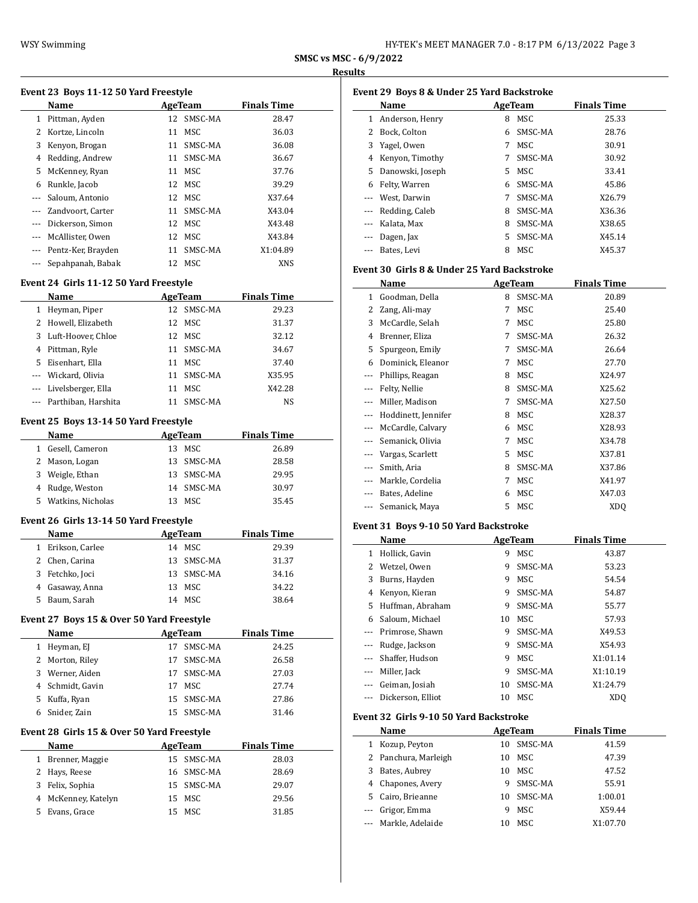L

 $\overline{a}$ 

| HY-TEK's MEET MANAGER 7.0 - 8:17 PM 6/13/2022 Page 3 |  |
|------------------------------------------------------|--|
|------------------------------------------------------|--|

**SMSC vs MSC - 6/9/2022 Results**

# **Event 23 Boys 11-12 50 Yard Freestyle**

| Name               |    |         | <b>Finals Time</b>                                                                                          |  |
|--------------------|----|---------|-------------------------------------------------------------------------------------------------------------|--|
| 1 Pittman, Ayden   |    | SMSC-MA | 28.47                                                                                                       |  |
| Kortze, Lincoln    |    | MSC     | 36.03                                                                                                       |  |
| Kenyon, Brogan     |    |         | 36.08                                                                                                       |  |
| Redding, Andrew    | 11 | SMSC-MA | 36.67                                                                                                       |  |
| McKenney, Ryan     |    | MSC     | 37.76                                                                                                       |  |
| Runkle, Jacob      |    |         | 39.29                                                                                                       |  |
| Saloum, Antonio    |    |         | X37.64                                                                                                      |  |
| Zandvoort, Carter  |    |         | X43.04                                                                                                      |  |
| Dickerson, Simon   |    |         | X43.48                                                                                                      |  |
| McAllister, Owen   |    |         | X43.84                                                                                                      |  |
| Pentz-Ker, Brayden |    |         | X1:04.89                                                                                                    |  |
| Sepahpanah, Babak  | 12 | MSC     | <b>XNS</b>                                                                                                  |  |
|                    |    |         | AgeTeam<br>12<br>11<br>11 SMSC-MA<br>11<br>12 MSC<br>12 MSC<br>11 SMSC-MA<br>12 MSC<br>12 MSC<br>11 SMSC-MA |  |

### **Event 24 Girls 11-12 50 Yard Freestyle**

|    | Name                    |    | AgeTeam | <b>Finals Time</b> |  |
|----|-------------------------|----|---------|--------------------|--|
|    | Heyman, Piper           | 12 | SMSC-MA | 29.23              |  |
|    | 2 Howell, Elizabeth     |    | 12 MSC  | 31.37              |  |
| 3. | Luft-Hoover, Chloe      |    | 12 MSC  | 32.12              |  |
| 4  | Pittman, Ryle           | 11 | SMSC-MA | 34.67              |  |
| 5. | Eisenhart, Ella         | 11 | MSC.    | 37.40              |  |
|    | --- Wickard, Olivia     | 11 | SMSC-MA | X35.95             |  |
|    | --- Livelsberger, Ella  | 11 | MSC.    | X42.28             |  |
|    | --- Parthiban, Harshita |    | SMSC-MA | NS                 |  |

### **Event 25 Boys 13-14 50 Yard Freestyle**

| Name                    | AgeTeam    | <b>Finals Time</b> |
|-------------------------|------------|--------------------|
| Gesell, Cameron<br>1.   | MSC.<br>13 | 26.89              |
| 2 Mason, Logan          | 13 SMSC-MA | 28.58              |
| Weigle, Ethan<br>3      | 13 SMSC-MA | 29.95              |
| 4 Rudge, Weston         | 14 SMSC-MA | 30.97              |
| Watkins, Nicholas<br>5. | MSC.       | 35.45              |

### **Event 26 Girls 13-14 50 Yard Freestyle**

|    | Name              | AgeTeam    | <b>Finals Time</b> |
|----|-------------------|------------|--------------------|
|    | 1 Erikson, Carlee | 14 MSC     | 29.39              |
|    | 2 Chen, Carina    | 13 SMSC-MA | 31.37              |
|    | 3 Fetchko, Joci   | 13 SMSC-MA | 34.16              |
|    | 4 Gasaway, Anna   | MSC<br>13  | 34.22              |
| 5. | Baum, Sarah       | 14 MSC     | 38.64              |

# **Event 27 Boys 15 & Over 50 Yard Freestyle**

|   | Name                                       |         | AgeTeam            | <b>Finals Time</b> |  |  |  |
|---|--------------------------------------------|---------|--------------------|--------------------|--|--|--|
| 1 | Heyman, EJ                                 | 17      | SMSC-MA            | 24.25              |  |  |  |
| 2 | Morton, Riley                              | 17      | SMSC-MA            | 26.58              |  |  |  |
| 3 | Werner, Aiden                              | 17      | SMSC-MA            | 27.03              |  |  |  |
| 4 | Schmidt, Gavin                             | 17      | MSC                | 27.74              |  |  |  |
| 5 | Kuffa, Ryan                                |         | 15 SMSC-MA         | 27.86              |  |  |  |
| 6 | Snider, Zain                               |         | 15 SMSC-MA         | 31.46              |  |  |  |
|   | Event 28 Girls 15 & Over 50 Yard Freestyle |         |                    |                    |  |  |  |
|   | Name                                       | AgeTeam | <b>Finals Time</b> |                    |  |  |  |
| 1 | Brenner, Maggie                            |         | 15 SMSC-MA         | 28.03              |  |  |  |
| 2 | Hays, Reese                                |         | 16 SMSC-MA         | 28.69              |  |  |  |
| 3 | Felix, Sophia                              |         | 15 SMSC-MA         | 29.07              |  |  |  |
| 4 | McKenney, Katelyn                          | 15      | MSC                | 29.56              |  |  |  |
| 5 | Evans, Grace                               |         | 15 MSC             | 31.85              |  |  |  |

| Event 29 Boys 8 & Under 25 Yard Backstroke |                  |    |         |                    |  |  |  |  |
|--------------------------------------------|------------------|----|---------|--------------------|--|--|--|--|
|                                            | Name             |    | AgeTeam | <b>Finals Time</b> |  |  |  |  |
| 1                                          | Anderson, Henry  | 8  | MSC     | 25.33              |  |  |  |  |
| 2.                                         | Bock, Colton     | 6  | SMSC-MA | 28.76              |  |  |  |  |
| 3                                          | Yagel, Owen      | 7  | MSC     | 30.91              |  |  |  |  |
| 4                                          | Kenyon, Timothy  |    | SMSC-MA | 30.92              |  |  |  |  |
| 5.                                         | Danowski, Joseph | 5. | MSC.    | 33.41              |  |  |  |  |
| 6                                          | Felty, Warren    | 6  | SMSC-MA | 45.86              |  |  |  |  |
|                                            | West, Darwin     | 7  | SMSC-MA | X26.79             |  |  |  |  |
|                                            | Redding, Caleb   | 8  | SMSC-MA | X36.36             |  |  |  |  |
| $\cdots$                                   | Kalata, Max      | 8  | SMSC-MA | X38.65             |  |  |  |  |
|                                            | Dagen, Jax       | 5. | SMSC-MA | X45.14             |  |  |  |  |
|                                            | Bates, Levi      | 8  | MSC     | X45.37             |  |  |  |  |

### **Event 30 Girls 8 & Under 25 Yard Backstroke**

|       | Name                |    | <b>AgeTeam</b> | <b>Finals Time</b> |
|-------|---------------------|----|----------------|--------------------|
| 1     | Goodman, Della      | 8  | SMSC-MA        | 20.89              |
| 2     | Zang, Ali-may       | 7  | MSC            | 25.40              |
| 3     | McCardle, Selah     | 7  | MSC            | 25.80              |
| 4     | Brenner, Eliza      | 7  | SMSC-MA        | 26.32              |
| 5     | Spurgeon, Emily     | 7  | SMSC-MA        | 26.64              |
| 6     | Dominick, Eleanor   | 7  | MSC            | 27.70              |
| $---$ | Phillips, Reagan    | 8  | MSC            | X24.97             |
| $---$ | Felty, Nellie       | 8  | SMSC-MA        | X25.62             |
|       | Miller, Madison     | 7  | SMSC-MA        | X27.50             |
| ---   | Hoddinett, Jennifer | 8  | MSC            | X28.37             |
| ---   | McCardle, Calvary   | 6  | MSC            | X28.93             |
| ---   | Semanick, Olivia    | 7  | MSC            | X34.78             |
| ---   | Vargas, Scarlett    | 5  | MSC            | X37.81             |
|       | Smith, Aria         | 8  | SMSC-MA        | X37.86             |
|       | Markle, Cordelia    | 7  | MSC            | X41.97             |
| ---   | Bates, Adeline      | 6  | MSC            | X47.03             |
|       | Semanick, Maya      | 5. | MSC            | XD <sub>O</sub>    |

### **Event 31 Boys 9-10 50 Yard Backstroke**

|          | Name              |    | AgeTeam | <b>Finals Time</b> |
|----------|-------------------|----|---------|--------------------|
| 1        | Hollick, Gavin    | 9  | MSC     | 43.87              |
| 2        | Wetzel, Owen      | 9  | SMSC-MA | 53.23              |
| 3        | Burns, Hayden     | 9  | MSC.    | 54.54              |
| 4        | Kenyon, Kieran    | 9  | SMSC-MA | 54.87              |
| 5.       | Huffman, Abraham  | 9  | SMSC-MA | 55.77              |
| 6        | Saloum, Michael   | 10 | MSC     | 57.93              |
|          | Primrose, Shawn   | 9  | SMSC-MA | X49.53             |
|          | Rudge, Jackson    | 9  | SMSC-MA | X54.93             |
|          | Shaffer, Hudson   | 9  | MSC     | X1:01.14           |
| $\cdots$ | Miller, Jack      | 9  | SMSC-MA | X1:10.19           |
|          | Geiman, Josiah    | 10 | SMSC-MA | X1:24.79           |
|          | Dickerson, Elliot | 10 | MSC.    | X <sub>D</sub> O   |

### **Event 32 Girls 9-10 50 Yard Backstroke**

|   | Name                 |    | AgeTeam | <b>Finals Time</b> |
|---|----------------------|----|---------|--------------------|
| 1 | Kozup, Peyton        | 10 | SMSC-MA | 41.59              |
|   | 2 Panchura, Marleigh | 10 | MSC.    | 47.39              |
|   | 3 Bates, Aubrey      | 10 | MSC     | 47.52              |
|   | 4 Chapones, Avery    | 9  | SMSC-MA | 55.91              |
|   | 5 Cairo, Brieanne    | 10 | SMSC-MA | 1:00.01            |
|   | --- Grigor, Emma     | 9  | MSC.    | X59.44             |
|   | --- Markle, Adelaide | 10 | MSC.    | X1:07.70           |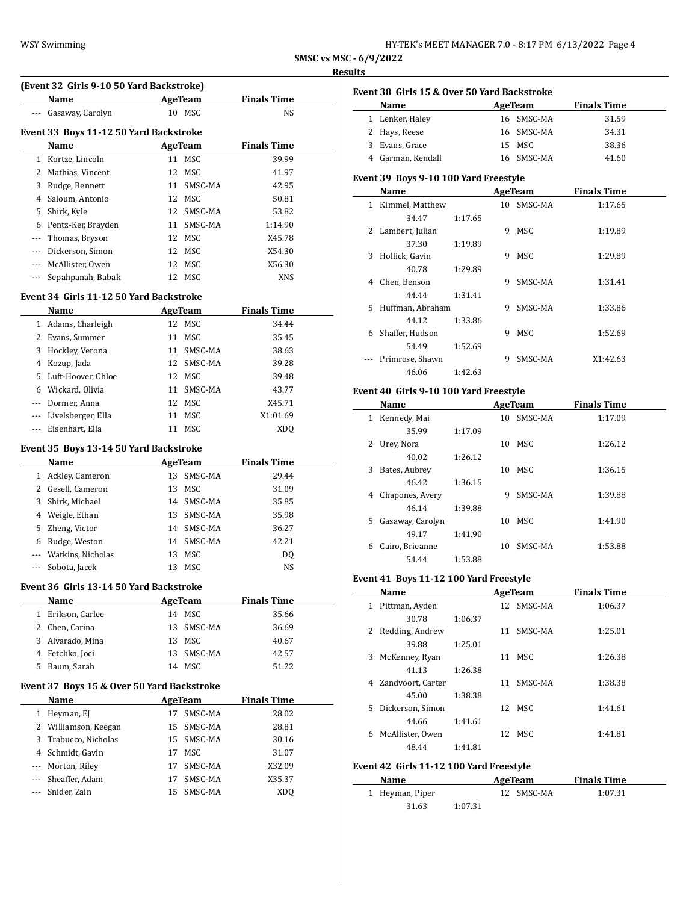# **Results**

|                | <b>WSY Swimming</b>                        |                |                    | SMSC vs MSC - 6/9/2022 |                                             |         |                | HY-TEK's MEET MANAGER 7.0 - 8:17 PM 6/13/2022 Page 4 |
|----------------|--------------------------------------------|----------------|--------------------|------------------------|---------------------------------------------|---------|----------------|------------------------------------------------------|
|                |                                            |                |                    | <b>Results</b>         |                                             |         |                |                                                      |
|                | (Event 32 Girls 9-10 50 Yard Backstroke)   |                |                    |                        | Event 38 Girls 15 & Over 50 Yard Backstroke |         |                |                                                      |
|                | Name                                       | AgeTeam        | <b>Finals Time</b> |                        | Name                                        |         | AgeTeam        | <b>Finals Time</b>                                   |
|                | --- Gasaway, Carolyn                       | 10 MSC         | NS                 |                        | 1 Lenker, Haley                             |         | 16 SMSC-MA     | 31.59                                                |
|                | Event 33 Boys 11-12 50 Yard Backstroke     |                |                    |                        | 2 Hays, Reese                               |         | 16 SMSC-MA     | 34.31                                                |
|                | Name                                       | <b>AgeTeam</b> | <b>Finals Time</b> | 3                      | Evans, Grace                                |         | 15 MSC         | 38.36                                                |
|                | 1 Kortze, Lincoln                          | 11 MSC         | 39.99              |                        | 4 Garman, Kendall                           |         | 16 SMSC-MA     | 41.60                                                |
|                | 2 Mathias, Vincent                         | 12 MSC         | 41.97              |                        |                                             |         |                |                                                      |
| 3              | Rudge, Bennett                             | 11 SMSC-MA     | 42.95              |                        | Event 39 Boys 9-10 100 Yard Freestyle       |         |                |                                                      |
| 4              | Saloum, Antonio                            | 12 MSC         | 50.81              |                        | Name                                        |         | AgeTeam        | <b>Finals Time</b>                                   |
| 5              | Shirk, Kyle                                | 12 SMSC-MA     | 53.82              |                        | 1 Kimmel, Matthew                           |         | 10 SMSC-MA     | 1:17.65                                              |
| 6              | Pentz-Ker, Brayden                         | 11 SMSC-MA     | 1:14.90            |                        | 34.47                                       | 1:17.65 |                |                                                      |
| $\overline{a}$ | Thomas, Bryson                             | 12 MSC         | X45.78             |                        | 2 Lambert, Julian                           |         | 9 MSC          | 1:19.89                                              |
|                | Dickerson, Simon                           | 12 MSC         | X54.30             |                        | 37.30                                       | 1:19.89 |                |                                                      |
| $\cdots$       | McAllister, Owen                           | 12 MSC         | X56.30             |                        | 3 Hollick, Gavin                            |         | 9 MSC          | 1:29.89                                              |
|                | --- Sepahpanah, Babak                      | 12 MSC         | <b>XNS</b>         |                        | 40.78                                       | 1:29.89 |                |                                                      |
|                |                                            |                |                    |                        | 4 Chen, Benson                              |         | 9 SMSC-MA      | 1:31.41                                              |
|                | Event 34 Girls 11-12 50 Yard Backstroke    |                |                    |                        | 44.44                                       | 1:31.41 |                |                                                      |
|                | Name                                       | <b>AgeTeam</b> | <b>Finals Time</b> |                        | 5 Huffman, Abraham                          |         | 9 SMSC-MA      | 1:33.86                                              |
|                | 1 Adams, Charleigh                         | 12 MSC         | 34.44              |                        | 44.12<br>6 Shaffer, Hudson                  | 1:33.86 | 9 MSC          | 1:52.69                                              |
|                | 2 Evans, Summer                            | 11 MSC         | 35.45              |                        |                                             |         |                |                                                      |
| 3              | Hockley, Verona                            | 11 SMSC-MA     | 38.63              |                        | 54.49                                       | 1:52.69 | SMSC-MA        | X1:42.63                                             |
| 4              | Kozup, Jada                                | 12 SMSC-MA     | 39.28              |                        | --- Primrose, Shawn<br>46.06                | 1:42.63 | 9              |                                                      |
| 5              | Luft-Hoover, Chloe                         | 12 MSC         | 39.48              |                        |                                             |         |                |                                                      |
| 6              | Wickard, Olivia                            | 11 SMSC-MA     | 43.77              |                        | Event 40 Girls 9-10 100 Yard Freestyle      |         |                |                                                      |
| $\cdots$       | Dormer, Anna                               | 12 MSC         | X45.71             |                        | Name                                        |         | AgeTeam        | <b>Finals Time</b>                                   |
| $\cdots$       | Livelsberger, Ella                         | 11 MSC         | X1:01.69           |                        | 1 Kennedy, Mai                              |         | 10 SMSC-MA     | 1:17.09                                              |
|                | --- Eisenhart, Ella                        | 11 MSC         | XDQ                |                        | 35.99                                       | 1:17.09 |                |                                                      |
|                | Event 35 Boys 13-14 50 Yard Backstroke     |                |                    |                        | 2 Urey, Nora                                |         | 10 MSC         | 1:26.12                                              |
|                | Name                                       | AgeTeam        | <b>Finals Time</b> |                        | 40.02                                       | 1:26.12 |                |                                                      |
|                | 1 Ackley, Cameron                          | 13 SMSC-MA     | 29.44              |                        | 3 Bates, Aubrey                             |         | 10 MSC         | 1:36.15                                              |
|                | 2 Gesell, Cameron                          | 13 MSC         | 31.09              |                        | 46.42                                       | 1:36.15 |                |                                                      |
| 3              | Shirk, Michael                             | 14 SMSC-MA     | 35.85              |                        | 4 Chapones, Avery                           |         | SMSC-MA<br>9   | 1:39.88                                              |
| 4              | Weigle, Ethan                              | 13 SMSC-MA     | 35.98              |                        | 46.14                                       | 1:39.88 |                |                                                      |
|                | 5 Zheng, Victor                            | 14 SMSC-MA     | 36.27              |                        | 5 Gasaway, Carolyn                          |         | 10 MSC         | 1:41.90                                              |
|                | 6 Rudge, Weston                            | 14 SMSC-MA     | 42.21              |                        | 49.17                                       | 1:41.90 |                |                                                      |
| $\cdots$       | Watkins, Nicholas                          | 13 MSC         |                    |                        | 6 Cairo, Brieanne                           |         | 10 SMSC-MA     | 1:53.88                                              |
|                | --- Sobota, Jacek                          | 13 MSC         | DQ<br><b>NS</b>    |                        | 54.44                                       | 1:53.88 |                |                                                      |
|                |                                            |                |                    |                        | Event 41 Boys 11-12 100 Yard Freestyle      |         |                |                                                      |
|                | Event 36 Girls 13-14 50 Yard Backstroke    |                |                    |                        | Name                                        |         | <b>AgeTeam</b> | <b>Finals Time</b>                                   |
|                | Name                                       | <b>AgeTeam</b> | <b>Finals Time</b> |                        | 1 Pittman, Ayden                            |         | 12 SMSC-MA     | 1:06.37                                              |
|                | 1 Erikson, Carlee                          | 14 MSC         | 35.66              |                        | 30.78                                       | 1:06.37 |                |                                                      |
|                | 2 Chen, Carina                             | 13 SMSC-MA     | 36.69              |                        | 2 Redding, Andrew                           |         | 11 SMSC-MA     | 1:25.01                                              |
|                | 3 Alvarado, Mina                           | 13 MSC         | 40.67              |                        | 39.88                                       | 1:25.01 |                |                                                      |
|                | 4 Fetchko, Joci                            | 13 SMSC-MA     | 42.57              |                        | 3 McKenney, Ryan                            |         | 11 MSC         | 1:26.38                                              |
|                | 5 Baum, Sarah                              | 14 MSC         | 51.22              |                        | 41.13                                       | 1:26.38 |                |                                                      |
|                |                                            |                |                    |                        | 4 Zandvoort, Carter                         |         | 11 SMSC-MA     | 1:38.38                                              |
|                | Event 37 Boys 15 & Over 50 Yard Backstroke |                |                    |                        | 45.00                                       | 1:38.38 |                |                                                      |
|                | Name                                       | <b>AgeTeam</b> | <b>Finals Time</b> |                        | 5 Dickerson, Simon                          |         | 12 MSC         | 1:41.61                                              |
|                | 1 Heyman, EJ                               | 17 SMSC-MA     | 28.02              |                        | 44.66                                       | 1:41.61 |                |                                                      |
|                | 2 Williamson, Keegan                       | 15 SMSC-MA     | 28.81              |                        | 6 McAllister, Owen                          |         | 12 MSC         | 1:41.81                                              |
| 3              | Trabucco, Nicholas                         | 15 SMSC-MA     | 30.16              |                        | 48.44                                       | 1:41.81 |                |                                                      |
| 4              | Schmidt, Gavin                             | 17 MSC         | 31.07              |                        |                                             |         |                |                                                      |
|                | Morton, Riley                              | 17 SMSC-MA     | X32.09             |                        | Event 42 Girls 11-12 100 Yard Freestyle     |         |                |                                                      |
| $\cdots$       | Sheaffer, Adam                             | 17 SMSC-MA     | X35.37             |                        | Name                                        |         | AgeTeam        | <b>Finals Time</b>                                   |
|                | --- Snider, Zain                           | 15 SMSC-MA     | <b>XDQ</b>         |                        | 1 Heyman, Piper                             |         | 12 SMSC-MA     | 1:07.31                                              |

| Event 38 Girls 15 & Over 50 Yard Backstroke |                                        |         |   |            |                    |  |  |  |  |
|---------------------------------------------|----------------------------------------|---------|---|------------|--------------------|--|--|--|--|
|                                             | Name AgeTeam                           |         |   |            | <b>Finals Time</b> |  |  |  |  |
|                                             | 1 Lenker, Haley                        |         |   | 16 SMSC-MA | 31.59              |  |  |  |  |
|                                             | 2 Hays, Reese                          |         |   | 16 SMSC-MA | 34.31              |  |  |  |  |
|                                             | 3 Evans, Grace                         |         |   | 15 MSC     | 38.36              |  |  |  |  |
|                                             | 4 Garman, Kendall                      |         |   | 16 SMSC-MA | 41.60              |  |  |  |  |
| Event 39 Boys 9-10 100 Yard Freestyle       |                                        |         |   |            |                    |  |  |  |  |
|                                             |                                        |         |   |            |                    |  |  |  |  |
|                                             | Name                                   |         |   | AgeTeam    | <b>Finals Time</b> |  |  |  |  |
|                                             | 1 Kimmel, Matthew                      |         |   | 10 SMSC-MA | 1:17.65            |  |  |  |  |
|                                             | 34.47                                  | 1:17.65 |   |            |                    |  |  |  |  |
|                                             | 2 Lambert, Julian                      |         |   | 9 MSC      | 1:19.89            |  |  |  |  |
|                                             | 37.30                                  | 1:19.89 |   |            |                    |  |  |  |  |
|                                             | 3 Hollick, Gavin                       |         |   | 9 MSC      | 1:29.89            |  |  |  |  |
|                                             | 40.78                                  | 1:29.89 |   |            |                    |  |  |  |  |
|                                             | 4 Chen, Benson                         |         |   | 9 SMSC-MA  | 1:31.41            |  |  |  |  |
|                                             | 44.44                                  | 1:31.41 |   |            |                    |  |  |  |  |
|                                             | 5 Huffman, Abraham                     |         |   | 9 SMSC-MA  | 1:33.86            |  |  |  |  |
|                                             | 44.12                                  | 1:33.86 |   |            |                    |  |  |  |  |
|                                             | 6 Shaffer, Hudson                      |         | 9 | MSC        | 1:52.69            |  |  |  |  |
|                                             | 54.49                                  | 1:52.69 |   |            |                    |  |  |  |  |
|                                             | Primrose, Shawn                        |         |   | 9 SMSC-MA  | X1:42.63           |  |  |  |  |
|                                             | 46.06                                  | 1:42.63 |   |            |                    |  |  |  |  |
|                                             | Event 40 Girls 9-10 100 Yard Freestyle |         |   |            |                    |  |  |  |  |
|                                             | Name                                   |         |   | AgeTeam    | <b>Finals Time</b> |  |  |  |  |
|                                             | 1 Kennedy, Mai                         |         |   | 10 SMSC-MA | 1:17.09            |  |  |  |  |
|                                             | 35.99                                  | 1:17.09 |   |            |                    |  |  |  |  |
|                                             | 2 Urey, Nora                           |         |   | 10 MSC     | 1:26.12            |  |  |  |  |
|                                             | 40.02                                  | 1:26.12 |   |            |                    |  |  |  |  |
| 3                                           | Bates, Aubrey                          |         |   | 10 MSC     | 1:36.15            |  |  |  |  |
|                                             | 46.42                                  | 1:36.15 |   |            |                    |  |  |  |  |
|                                             |                                        |         |   |            |                    |  |  |  |  |
|                                             | 4 Chapones, Avery                      |         |   | 9 SMSC-MA  | 1:39.88            |  |  |  |  |
|                                             | 46.14                                  | 1:39.88 |   |            |                    |  |  |  |  |
|                                             | 5 Gasaway, Carolyn                     |         |   | 10 MSC     | 1:41.90            |  |  |  |  |
|                                             | 49.17                                  | 1:41.90 |   |            |                    |  |  |  |  |
|                                             | 6 Cairo, Brieanne                      |         |   | 10 SMSC-MA | 1:53.88            |  |  |  |  |
|                                             | 54.44                                  | 1:53.88 |   |            |                    |  |  |  |  |
|                                             |                                        |         |   |            |                    |  |  |  |  |

# **Event 41 Boys 11-12 100 Yard Freestyle**

|    | Name              |         |    | AgeTeam | <b>Finals Time</b> |
|----|-------------------|---------|----|---------|--------------------|
| 1  | Pittman, Ayden    |         | 12 | SMSC-MA | 1:06.37            |
|    | 30.78             | 1:06.37 |    |         |                    |
| 2  | Redding, Andrew   |         | 11 | SMSC-MA | 1:25.01            |
|    | 39.88             | 1:25.01 |    |         |                    |
| 3  | McKenney, Ryan    |         | 11 | MSC     | 1:26.38            |
|    | 41.13             | 1:26.38 |    |         |                    |
| 4  | Zandvoort, Carter |         | 11 | SMSC-MA | 1:38.38            |
|    | 45.00             | 1:38.38 |    |         |                    |
| 5. | Dickerson, Simon  |         |    | 12 MSC  | 1:41.61            |
|    | 44.66             | 1:41.61 |    |         |                    |
| 6  | McAllister, Owen  |         | 12 | MSC.    | 1:41.81            |
|    | 48.44             | 1:41.81 |    |         |                    |
|    |                   |         |    |         |                    |

# **Event 42 Girls 11-12 100 Yard Freestyle**

| Name            |         | AgeTeam    | <b>Finals Time</b> |  |  |
|-----------------|---------|------------|--------------------|--|--|
| 1 Heyman, Piper |         | 12 SMSC-MA | 1:07.31            |  |  |
| 31.63           | 1:07.31 |            |                    |  |  |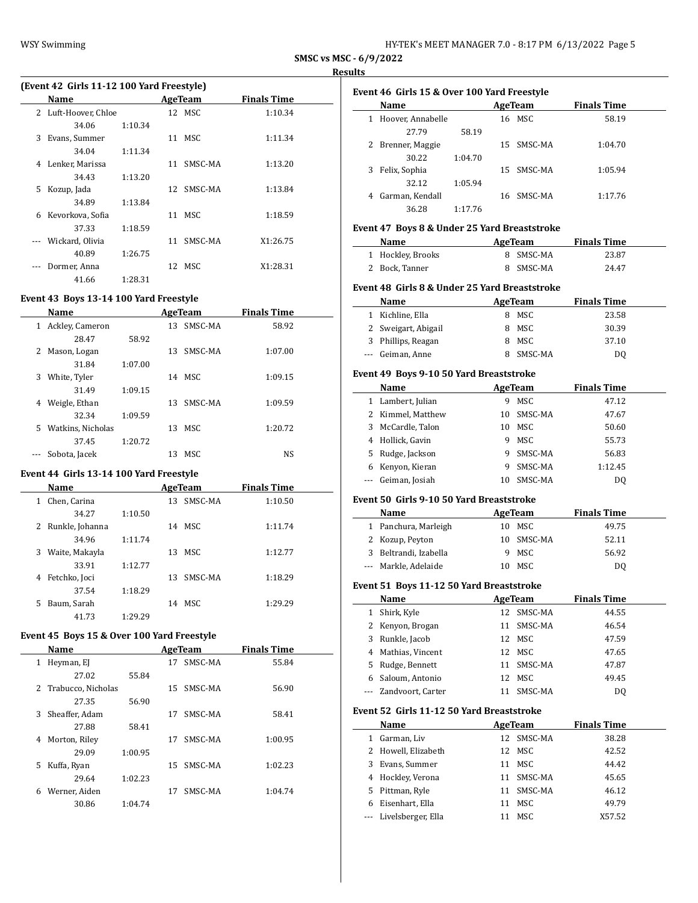# **SMSC vs MSC - 6/9/2022**

#### **Results**

 $\overline{a}$ 

| (Event 42 Girls 11-12 100 Yard Freestyle) |                      |         |    |            |                    |  |  |  |
|-------------------------------------------|----------------------|---------|----|------------|--------------------|--|--|--|
|                                           | Name                 |         |    | AgeTeam    | <b>Finals Time</b> |  |  |  |
|                                           | 2 Luft-Hoover, Chloe |         |    | 12 MSC     | 1:10.34            |  |  |  |
|                                           | 34.06                | 1:10.34 |    |            |                    |  |  |  |
| 3                                         | Evans, Summer        |         | 11 | MSC        | 1:11.34            |  |  |  |
|                                           | 34.04                | 1:11.34 |    |            |                    |  |  |  |
| 4                                         | Lenker, Marissa      |         | 11 | SMSC-MA    | 1:13.20            |  |  |  |
|                                           | 34.43                | 1:13.20 |    |            |                    |  |  |  |
| 5                                         | Kozup, Jada          |         |    | 12 SMSC-MA | 1:13.84            |  |  |  |
|                                           | 34.89                | 1:13.84 |    |            |                    |  |  |  |
| 6                                         | Kevorkova, Sofia     |         | 11 | MSC.       | 1:18.59            |  |  |  |
|                                           | 37.33                | 1:18.59 |    |            |                    |  |  |  |
|                                           | Wickard, Olivia      |         | 11 | SMSC-MA    | X1:26.75           |  |  |  |
|                                           | 40.89                | 1:26.75 |    |            |                    |  |  |  |
|                                           | Dormer, Anna         |         |    | 12 MSC     | X1:28.31           |  |  |  |
|                                           | 41.66                | 1:28.31 |    |            |                    |  |  |  |

### **Event 43 Boys 13-14 100 Yard Freestyle**

|    | Name              |         |    | AgeTeam | <b>Finals Time</b> |  |
|----|-------------------|---------|----|---------|--------------------|--|
| 1  | Ackley, Cameron   |         | 13 | SMSC-MA | 58.92              |  |
|    | 28.47             | 58.92   |    |         |                    |  |
| 2  | Mason, Logan      |         | 13 | SMSC-MA | 1:07.00            |  |
|    | 31.84             | 1:07.00 |    |         |                    |  |
| 3  | White, Tyler      |         | 14 | MSC     | 1:09.15            |  |
|    | 31.49             | 1:09.15 |    |         |                    |  |
| 4  | Weigle, Ethan     |         | 13 | SMSC-MA | 1:09.59            |  |
|    | 32.34             | 1:09.59 |    |         |                    |  |
| 5. | Watkins, Nicholas |         | 13 | MSC.    | 1:20.72            |  |
|    | 37.45             | 1:20.72 |    |         |                    |  |
|    | Sobota, Jacek     |         | 13 | MSC     | NS                 |  |

# **Event 44 Girls 13-14 100 Yard Freestyle**

|   | Name              |         |     | AgeTeam | <b>Finals Time</b> |  |
|---|-------------------|---------|-----|---------|--------------------|--|
| 1 | Chen, Carina      |         | 13  | SMSC-MA | 1:10.50            |  |
|   | 34.27             | 1:10.50 |     |         |                    |  |
|   | 2 Runkle, Johanna |         | 14  | MSC     | 1:11.74            |  |
|   | 34.96             | 1:11.74 |     |         |                    |  |
| 3 | Waite, Makayla    |         |     | 13 MSC  | 1:12.77            |  |
|   | 33.91             | 1:12.77 |     |         |                    |  |
| 4 | Fetchko, Joci     |         | 13. | SMSC-MA | 1:18.29            |  |
|   | 37.54             | 1:18.29 |     |         |                    |  |
| 5 | Baum, Sarah       |         | 14  | MSC.    | 1:29.29            |  |
|   | 41.73             | 1:29.29 |     |         |                    |  |

# **Event 45 Boys 15 & Over 100 Yard Freestyle**

 $\overline{\phantom{0}}$ 

|   | Name               |         |     | AgeTeam | <b>Finals Time</b> |  |
|---|--------------------|---------|-----|---------|--------------------|--|
| 1 | Heyman, EJ         |         | 17  | SMSC-MA | 55.84              |  |
|   | 27.02              | 55.84   |     |         |                    |  |
| 2 | Trabucco, Nicholas |         | 15. | SMSC-MA | 56.90              |  |
|   | 27.35              | 56.90   |     |         |                    |  |
| 3 | Sheaffer, Adam     |         | 17  | SMSC-MA | 58.41              |  |
|   | 27.88              | 58.41   |     |         |                    |  |
| 4 | Morton, Riley      |         | 17  | SMSC-MA | 1:00.95            |  |
|   | 29.09              | 1:00.95 |     |         |                    |  |
| 5 | Kuffa, Ryan        |         | 15. | SMSC-MA | 1:02.23            |  |
|   | 29.64              | 1:02.23 |     |         |                    |  |
| 6 | Werner, Aiden      |         | 17  | SMSC-MA | 1:04.74            |  |
|   | 30.86              | 1:04.74 |     |         |                    |  |

|   | Event 46  Girls 15 & Over 100 Yard Freestyle |         |  |            |                    |  |  |
|---|----------------------------------------------|---------|--|------------|--------------------|--|--|
|   | Name                                         |         |  | AgeTeam    | <b>Finals Time</b> |  |  |
|   | Hoover, Annabelle                            |         |  | 16 MSC     | 58.19              |  |  |
|   | 27.79                                        | 58.19   |  |            |                    |  |  |
|   | 2 Brenner, Maggie                            |         |  | 15 SMSC-MA | 1:04.70            |  |  |
|   | 30.22                                        | 1:04.70 |  |            |                    |  |  |
| 3 | Felix, Sophia                                |         |  | 15 SMSC-MA | 1:05.94            |  |  |
|   | 32.12                                        | 1:05.94 |  |            |                    |  |  |
| 4 | Garman, Kendall                              |         |  | 16 SMSC-MA | 1:17.76            |  |  |
|   | 36.28                                        | 1:17.76 |  |            |                    |  |  |
|   |                                              |         |  |            |                    |  |  |

#### **Event 47 Boys 8 & Under 25 Yard Breaststroke**

| Name              | AgeTeam   | <b>Finals Time</b> |  |
|-------------------|-----------|--------------------|--|
| 1 Hockley, Brooks | 8 SMSC-MA | 23.87              |  |
| 2 Bock, Tanner    | 8 SMSC-MA | 24.47              |  |

### **Event 48 Girls 8 & Under 25 Yard Breaststroke**

| Name                | AgeTeam | <b>Finals Time</b> |
|---------------------|---------|--------------------|
| Kichline, Ella      | 8 MSC   | 23.58              |
| 2 Sweigart, Abigail | 8 MSC   | 30.39              |
| 3 Phillips, Reagan  | 8 MSC   | 37.10              |
| --- Geiman, Anne    | SMSC-MA | DO                 |

#### **Event 49 Boys 9-10 50 Yard Breaststroke**

| Name               |    | AgeTeam | <b>Finals Time</b> |  |
|--------------------|----|---------|--------------------|--|
| 1 Lambert, Julian  | 9  | MSC     | 47.12              |  |
| 2 Kimmel, Matthew  | 10 | SMSC-MA | 47.67              |  |
| 3 McCardle, Talon  | 10 | MSC.    | 50.60              |  |
| 4 Hollick, Gavin   | 9  | MSC     | 55.73              |  |
| 5 Rudge, Jackson   | 9  | SMSC-MA | 56.83              |  |
| 6 Kenyon, Kieran   | 9  | SMSC-MA | 1:12.45            |  |
| --- Geiman, Josiah | 10 | SMSC-MA | D0                 |  |

### **Event 50 Girls 9-10 50 Yard Breaststroke**

| <b>Name</b>           | AgeTeam    | <b>Finals Time</b> |
|-----------------------|------------|--------------------|
| 1 Panchura, Marleigh  | 10 MSC     | 49.75              |
| 2 Kozup, Peyton       | 10 SMSC-MA | 52.11              |
| 3 Beltrandi, Izabella | 9 MSC      | 56.92              |
| --- Markle, Adelaide  | 10 MSC     | DO                 |

### **Event 51 Boys 11-12 50 Yard Breaststroke**

|              | Name                  |    | AgeTeam    | <b>Finals Time</b> |
|--------------|-----------------------|----|------------|--------------------|
| $\mathbf{1}$ | Shirk, Kyle           |    | 12 SMSC-MA | 44.55              |
|              | 2 Kenyon, Brogan      | 11 | SMSC-MA    | 46.54              |
|              | 3 Runkle, Jacob       |    | 12 MSC     | 47.59              |
|              | 4 Mathias, Vincent    |    | 12 MSC     | 47.65              |
|              | 5 Rudge, Bennett      |    | 11 SMSC-MA | 47.87              |
|              | 6 Saloum, Antonio     |    | 12 MSC     | 49.45              |
|              | --- Zandvoort, Carter |    | SMSC-MA    | D <sub>0</sub>     |

#### **Event 52 Girls 11-12 50 Yard Breaststroke**

|   | Name                   |    | AgeTeam    | <b>Finals Time</b> |
|---|------------------------|----|------------|--------------------|
| 1 | Garman, Liv            |    | 12 SMSC-MA | 38.28              |
|   | 2 Howell, Elizabeth    |    | 12 MSC     | 42.52              |
|   | 3 Evans, Summer        |    | 11 MSC     | 44.42              |
|   | 4 Hockley, Verona      |    | 11 SMSC-MA | 45.65              |
|   | 5 Pittman, Ryle        |    | 11 SMSC-MA | 46.12              |
| 6 | Eisenhart, Ella        | 11 | MSC        | 49.79              |
|   | --- Livelsberger, Ella | 11 | MSC        | X57.52             |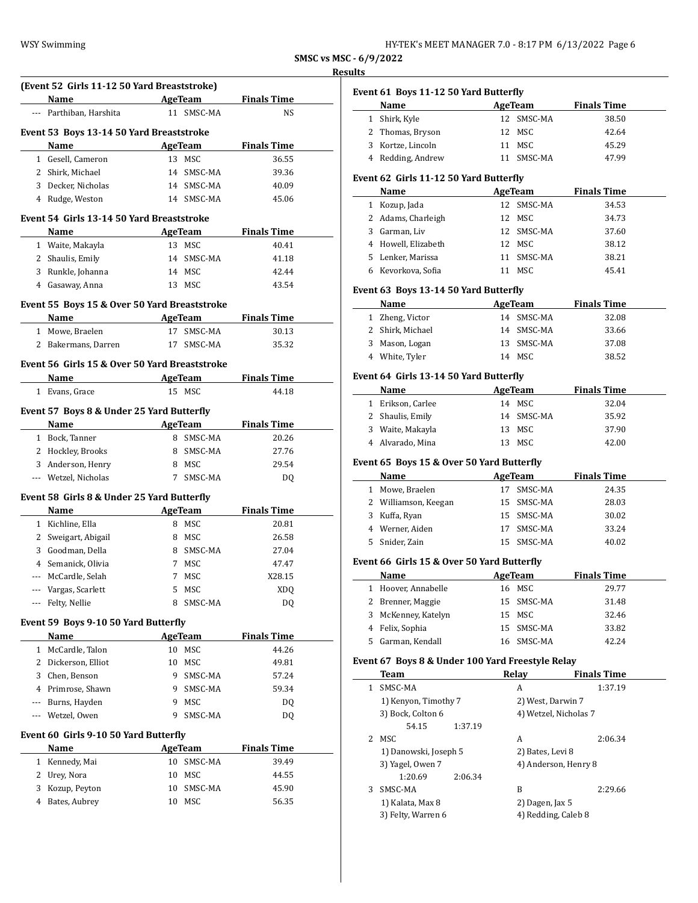|  | HY-TEK's MEET MANAGER 7.0 - 8:17 PM 6/13/2022 Page 6 |  |  |  |
|--|------------------------------------------------------|--|--|--|
|--|------------------------------------------------------|--|--|--|

**SMSC vs MSC - 6/9/2022**

|     | (Event 52 Girls 11-12 50 Yard Breaststroke)   |         |                |                                      |  |
|-----|-----------------------------------------------|---------|----------------|--------------------------------------|--|
|     | Name                                          |         |                | <b>Example 2 AgeTeam</b> Finals Time |  |
|     | --- Parthiban, Harshita                       |         | 11 SMSC-MA     | NS                                   |  |
|     | Event 53 Boys 13-14 50 Yard Breaststroke      |         |                |                                      |  |
|     | Name                                          |         |                | AgeTeam Finals Time                  |  |
|     | 1 Gesell, Cameron                             |         | 13 MSC         | 36.55                                |  |
|     | 2 Shirk, Michael                              |         | 14 SMSC-MA     | 39.36                                |  |
|     | 3 Decker, Nicholas                            |         | 14 SMSC-MA     | 40.09                                |  |
|     | 4 Rudge, Weston                               |         | 14 SMSC-MA     | 45.06                                |  |
|     |                                               |         |                |                                      |  |
|     | Event 54 Girls 13-14 50 Yard Breaststroke     |         |                |                                      |  |
|     | Name                                          |         |                | <b>Example 2 AgeTeam</b> Finals Time |  |
|     | 1 Waite, Makayla                              |         | 13 MSC         | 40.41                                |  |
|     | 2 Shaulis, Emily                              |         | 14 SMSC-MA     | 41.18                                |  |
|     | 3 Runkle, Johanna                             |         | 14 MSC         | 42.44                                |  |
|     | 4 Gasaway, Anna                               |         | 13 MSC         | 43.54                                |  |
|     | Event 55 Boys 15 & Over 50 Yard Breaststroke  |         |                |                                      |  |
|     | <b>Name</b>                                   | AgeTeam |                | <b>Finals Time</b>                   |  |
|     | 1 Mowe, Braelen                               |         | 17 SMSC-MA     | 30.13                                |  |
|     | 2 Bakermans, Darren                           |         | 17 SMSC-MA     | 35.32                                |  |
|     |                                               |         |                |                                      |  |
|     | Event 56 Girls 15 & Over 50 Yard Breaststroke |         |                |                                      |  |
|     | Name                                          |         |                | <b>Example 2 AgeTeam</b> Finals Time |  |
|     | 1 Evans, Grace                                |         | 15 MSC         | 44.18                                |  |
|     | Event 57 Boys 8 & Under 25 Yard Butterfly     |         |                |                                      |  |
|     | Name                                          |         |                | <b>AgeTeam</b> Finals Time           |  |
|     | 1 Bock, Tanner                                |         | 8 SMSC-MA      | 20.26                                |  |
|     |                                               |         | 8 SMSC-MA      | 27.76                                |  |
|     | 2 Hockley, Brooks                             |         |                |                                      |  |
|     | 3 Anderson, Henry                             |         | 8 MSC          | 29.54                                |  |
|     | --- Wetzel, Nicholas                          |         | 7 SMSC-MA      | DQ                                   |  |
|     | Event 58 Girls 8 & Under 25 Yard Butterfly    |         |                |                                      |  |
|     | <b>Name</b>                                   |         | <b>AgeTeam</b> | <b>Finals Time</b>                   |  |
|     | 1 Kichline, Ella                              |         | 8 MSC          | 20.81                                |  |
|     | 2 Sweigart, Abigail                           |         | 8 MSC          | 26.58                                |  |
|     | 3 Goodman, Della                              |         | 8 SMSC-MA      | 27.04                                |  |
|     | 4 Semanick, Olivia                            |         | 7 MSC          | 47.47                                |  |
|     | McCardle, Selah                               | 7       | MSC            | X28.15                               |  |
|     | Vargas, Scarlett                              | 5       | <b>MSC</b>     | XDQ                                  |  |
|     | Felty, Nellie                                 | 8       | SMSC-MA        | <b>DQ</b>                            |  |
|     |                                               |         |                |                                      |  |
|     | Event 59 Boys 9-10 50 Yard Butterfly<br>Name  |         | <b>AgeTeam</b> | <b>Finals Time</b>                   |  |
|     |                                               |         |                |                                      |  |
|     | 1 McCardle, Talon                             |         | 10 MSC         | 44.26                                |  |
|     | 2 Dickerson, Elliot                           | 10      | MSC            | 49.81                                |  |
|     | 3 Chen, Benson                                | 9       | SMSC-MA        | 57.24                                |  |
|     | 4 Primrose, Shawn                             | 9       | SMSC-MA        | 59.34                                |  |
| --- | Burns, Hayden                                 | 9       | MSC            | DQ                                   |  |
|     | Wetzel, Owen                                  | 9       | SMSC-MA        | DQ                                   |  |
|     | Event 60 Girls 9-10 50 Yard Butterfly         |         |                |                                      |  |
|     | Name                                          |         | AgeTeam        | <b>Finals Time</b>                   |  |
|     | 1 Kennedy, Mai                                | 10      | SMSC-MA        | 39.49                                |  |
|     | 2 Urey, Nora                                  | 10      | <b>MSC</b>     | 44.55                                |  |
| 3   | Kozup, Peyton                                 | 10      | SMSC-MA        | 45.90                                |  |
|     |                                               | 10      | MSC            | 56.35                                |  |
| 4   | Bates, Aubrey                                 |         |                |                                      |  |

|              | Event 61 Boys 11-12 50 Yard Butterfly<br>Name    |    |                              |                             |
|--------------|--------------------------------------------------|----|------------------------------|-----------------------------|
| $\mathbf{1}$ |                                                  | 12 | AgeTeam<br>SMSC-MA           | <b>Finals Time</b>          |
|              | Shirk, Kyle                                      |    |                              | 38.50                       |
|              | 2 Thomas, Bryson                                 | 12 | MSC                          | 42.64                       |
|              | 3 Kortze, Lincoln                                | 11 | MSC                          | 45.29                       |
|              | 4 Redding, Andrew                                |    | 11 SMSC-MA                   | 47.99                       |
|              | Event 62 Girls 11-12 50 Yard Butterfly           |    |                              |                             |
|              | Name                                             |    | <b>AgeTeam</b>               | <b>Finals Time</b>          |
|              | 1 Kozup, Jada                                    |    | 12 SMSC-MA                   | 34.53                       |
|              | 2 Adams, Charleigh                               |    | 12 MSC                       | 34.73                       |
|              | 3 Garman, Liv                                    |    | 12 SMSC-MA                   | 37.60                       |
|              | 4 Howell, Elizabeth                              |    | 12 MSC                       | 38.12                       |
|              | 5 Lenker, Marissa                                |    | 11 SMSC-MA                   | 38.21                       |
|              | 6 Kevorkova, Sofia                               |    | 11 MSC                       | 45.41                       |
|              | Event 63 Boys 13-14 50 Yard Butterfly            |    |                              |                             |
|              | Name                                             |    | AgeTeam                      | <b>Finals Time</b>          |
|              | 1 Zheng, Victor                                  |    | 14 SMSC-MA                   | 32.08                       |
|              | 2 Shirk, Michael                                 |    | 14 SMSC-MA                   | 33.66                       |
|              | 3 Mason, Logan                                   |    | 13 SMSC-MA                   | 37.08                       |
|              | 4 White, Tyler                                   |    | 14 MSC                       | 38.52                       |
|              | Event 64 Girls 13-14 50 Yard Butterfly           |    |                              |                             |
|              | Name                                             |    | <b>AgeTeam</b>               | <b>Finals Time</b>          |
|              | 1 Erikson, Carlee                                |    | 14 MSC                       | 32.04                       |
|              | 2 Shaulis, Emily                                 |    | 14 SMSC-MA                   | 35.92                       |
|              | 3 Waite, Makayla                                 |    | 13 MSC                       | 37.90                       |
|              | 4 Alvarado, Mina                                 |    | 13 MSC                       | 42.00                       |
|              |                                                  |    |                              |                             |
|              | Event 65 Boys 15 & Over 50 Yard Butterfly        |    |                              |                             |
|              | Name                                             |    | <b>AgeTeam</b><br>17 SMSC-MA | <b>Finals Time</b><br>24.35 |
|              | 1 Mowe, Braelen                                  |    |                              |                             |
|              | 2 Williamson, Keegan                             |    | 15 SMSC-MA                   | 28.03                       |
|              | 3 Kuffa, Ryan                                    |    | 15 SMSC-MA                   | 30.02                       |
|              | 4 Werner, Aiden                                  |    | 17 SMSC-MA                   | 33.24                       |
|              | 5 Snider, Zain                                   |    | 15 SMSC-MA                   | 40.02                       |
|              | Event 66 Girls 15 & Over 50 Yard Butterfly       |    |                              |                             |
|              | Name                                             |    | <b>AgeTeam</b>               | <b>Finals Time</b>          |
| 1            | Hoover, Annabelle                                |    | 16 MSC                       | 29.77                       |
| 2            | Brenner, Maggie                                  | 15 | SMSC-MA                      | 31.48                       |
|              | 3 McKenney, Katelyn                              |    | 15 MSC                       | 32.46                       |
|              | 4 Felix, Sophia                                  | 15 | SMSC-MA                      | 33.82                       |
|              | 5 Garman, Kendall                                | 16 | SMSC-MA                      | 42.24                       |
|              | Event 67 Boys 8 & Under 100 Yard Freestyle Relay |    |                              |                             |
|              | Team                                             |    | <b>Relay</b>                 | <b>Finals Time</b>          |
| $\mathbf{1}$ | SMSC-MA                                          |    | A                            | 1:37.19                     |
|              | 1) Kenyon, Timothy 7                             |    | 2) West, Darwin 7            |                             |
|              | 3) Bock, Colton 6                                |    | 4) Wetzel, Nicholas 7        |                             |
|              | 54.15<br>1:37.19                                 |    |                              |                             |
|              | 2 MSC                                            |    | A                            | 2:06.34                     |
|              | 1) Danowski, Joseph 5                            |    | 2) Bates, Levi 8             |                             |
|              | 3) Yagel, Owen 7                                 |    | 4) Anderson, Henry 8         |                             |
|              | 1:20.69<br>2:06.34                               |    |                              |                             |
| 3            | SMSC-MA                                          |    | B                            | 2:29.66                     |
|              | 1) Kalata, Max 8                                 |    | 2) Dagen, Jax 5              |                             |

3) Felty, Warren 6 4) Redding, Caleb 8